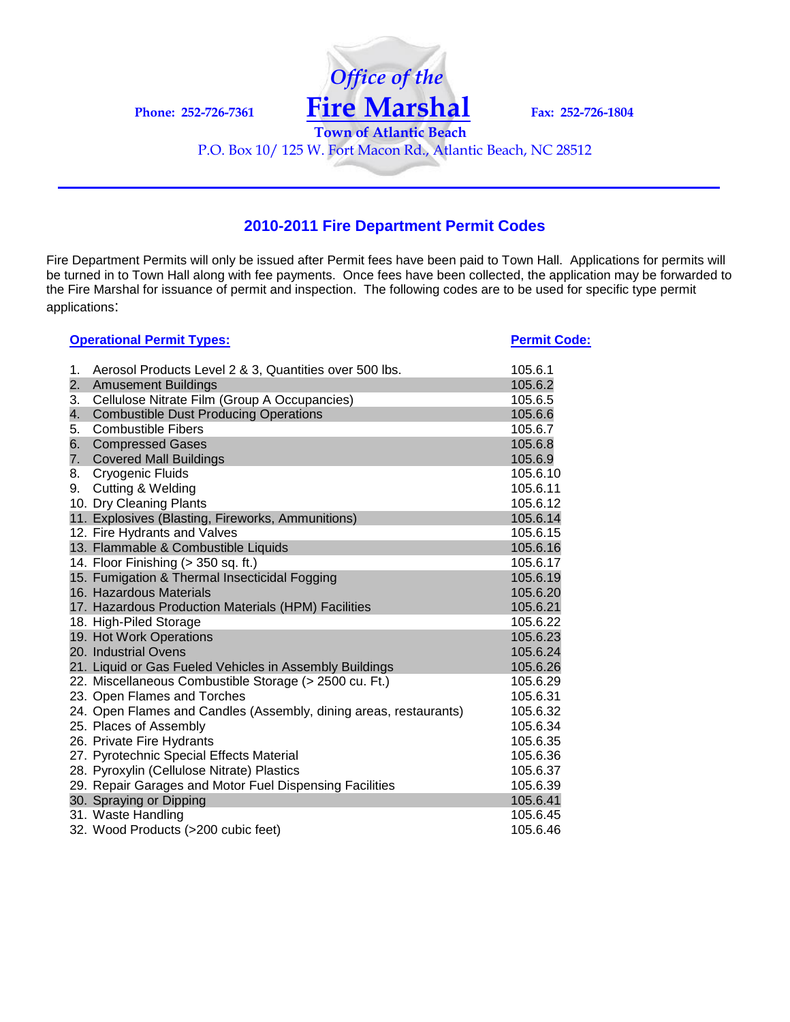

**Town of Atlantic Beach** P.O. Box 10/ 125 W. Fort Macon Rd., Atlantic Beach, NC 28512

## **2010-2011 Fire Department Permit Codes**

Fire Department Permits will only be issued after Permit fees have been paid to Town Hall. Applications for permits will be turned in to Town Hall along with fee payments. Once fees have been collected, the application may be forwarded to the Fire Marshal for issuance of permit and inspection. The following codes are to be used for specific type permit applications:

| <b>Operational Permit Types:</b> |                                                                   | <b>Permit Code:</b> |
|----------------------------------|-------------------------------------------------------------------|---------------------|
| 1.                               | Aerosol Products Level 2 & 3, Quantities over 500 lbs.            | 105.6.1             |
| 2.                               | <b>Amusement Buildings</b>                                        | 105.6.2             |
| 3.                               | Cellulose Nitrate Film (Group A Occupancies)                      | 105.6.5             |
| 4.                               | <b>Combustible Dust Producing Operations</b>                      | 105.6.6             |
| 5.                               | <b>Combustible Fibers</b>                                         | 105.6.7             |
| 6.                               | <b>Compressed Gases</b>                                           | 105.6.8             |
| 7.                               | <b>Covered Mall Buildings</b>                                     | 105.6.9             |
| 8.                               | Cryogenic Fluids                                                  | 105.6.10            |
| 9.                               | Cutting & Welding                                                 | 105.6.11            |
|                                  | 10. Dry Cleaning Plants                                           | 105.6.12            |
|                                  | 11. Explosives (Blasting, Fireworks, Ammunitions)                 | 105.6.14            |
|                                  | 12. Fire Hydrants and Valves                                      | 105.6.15            |
|                                  | 13. Flammable & Combustible Liquids                               | 105.6.16            |
|                                  | 14. Floor Finishing (> 350 sq. ft.)                               | 105.6.17            |
|                                  | 15. Fumigation & Thermal Insecticidal Fogging                     | 105.6.19            |
|                                  | 16. Hazardous Materials                                           | 105.6.20            |
|                                  | 17. Hazardous Production Materials (HPM) Facilities               | 105.6.21            |
|                                  | 18. High-Piled Storage                                            | 105.6.22            |
|                                  | 19. Hot Work Operations                                           | 105.6.23            |
|                                  | 20. Industrial Ovens                                              | 105.6.24            |
|                                  | 21. Liquid or Gas Fueled Vehicles in Assembly Buildings           | 105.6.26            |
|                                  | 22. Miscellaneous Combustible Storage (> 2500 cu. Ft.)            | 105.6.29            |
|                                  | 23. Open Flames and Torches                                       | 105.6.31            |
|                                  | 24. Open Flames and Candles (Assembly, dining areas, restaurants) | 105.6.32            |
|                                  | 25. Places of Assembly                                            | 105.6.34            |
|                                  | 26. Private Fire Hydrants                                         | 105.6.35            |
|                                  | 27. Pyrotechnic Special Effects Material                          | 105.6.36            |
|                                  | 28. Pyroxylin (Cellulose Nitrate) Plastics                        | 105.6.37            |
|                                  | 29. Repair Garages and Motor Fuel Dispensing Facilities           | 105.6.39            |
|                                  | 30. Spraying or Dipping                                           | 105.6.41            |
|                                  | 31. Waste Handling                                                | 105.6.45            |
|                                  | 32. Wood Products (>200 cubic feet)                               | 105.6.46            |